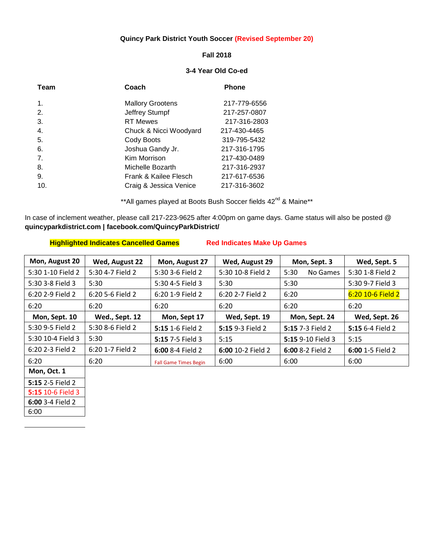# **Quincy Park District Youth Soccer (Revised September 20)**

#### **Fall 2018**

## **3-4 Year Old Co-ed**

| Team           | Coach                   | <b>Phone</b> |
|----------------|-------------------------|--------------|
| $\mathbf 1$ .  | <b>Mallory Grootens</b> | 217-779-6556 |
| 2.             | Jeffrey Stumpf          | 217-257-0807 |
| 3.             | <b>RT</b> Mewes         | 217-316-2803 |
| 4.             | Chuck & Nicci Woodyard  | 217-430-4465 |
| 5.             | Cody Boots              | 319-795-5432 |
| 6.             | Joshua Gandy Jr.        | 217-316-1795 |
| 7 <sub>1</sub> | Kim Morrison            | 217-430-0489 |
| 8.             | Michelle Bozarth        | 217-316-2937 |
| 9.             | Frank & Kailee Flesch   | 217-617-6536 |
| 10.            | Craig & Jessica Venice  | 217-316-3602 |

\*\*All games played at Boots Bush Soccer fields 42<sup>nd</sup> & Maine\*\*

In case of inclement weather, please call 217-223-9625 after 4:00pm on game days. Game status will also be posted @ **quincyparkdistrict.com | facebook.com/QuincyParkDistrict/** 

## **Highlighted Indicates Cancelled Games Red Indicates Make Up Games**

| Mon, August 20    | Wed, August 22   | Mon, August 27               | Wed, August 29    | Mon, Sept. 3      | Wed, Sept. 5      |
|-------------------|------------------|------------------------------|-------------------|-------------------|-------------------|
| 5:30 1-10 Field 2 | 5:30 4-7 Field 2 | 5:30 3-6 Field 2             | 5:30 10-8 Field 2 | 5:30<br>No Games  | 5:30 1-8 Field 2  |
| 5:30 3-8 Field 3  | 5:30             | 5:30 4-5 Field 3             | 5:30              | 5:30              | 5:30 9-7 Field 3  |
| 6:20 2-9 Field 2  | 6:20 5-6 Field 2 | 6:20 1-9 Field 2             | 6:20 2-7 Field 2  | 6:20              | 6:20 10-6 Field 2 |
| 6:20              | 6:20             | 6:20                         | 6:20              | 6:20              | 6:20              |
| Mon, Sept. 10     | Wed., Sept. 12   | Mon, Sept 17                 | Wed, Sept. 19     | Mon, Sept. 24     | Wed, Sept. 26     |
| 5:30 9-5 Field 2  | 5:30 8-6 Field 2 | 5:15 1-6 Field 2             | 5:15 9-3 Field 2  | 5:15 7-3 Field 2  | 5:15 6-4 Field 2  |
| 5:30 10-4 Field 3 | 5:30             | 5:15 7-5 Field 3             | 5:15              | 5:15 9-10 Field 3 | 5:15              |
| 6:20 2-3 Field 2  | 6:20 1-7 Field 2 | $6:008-4$ Field 2            | 6:00 10-2 Field 2 | $6:008-2$ Field 2 | 6:00 1-5 Field 2  |
| 6:20              | 6:20             | <b>Fall Game Times Begin</b> | 6:00              | 6:00              | 6:00              |
| Mon, Oct. 1       |                  |                              |                   |                   |                   |
| 5:15 2-5 Field 2  |                  |                              |                   |                   |                   |

**6:00** 3-4 Field 2

**5:15** 10-6 Field 3

6:00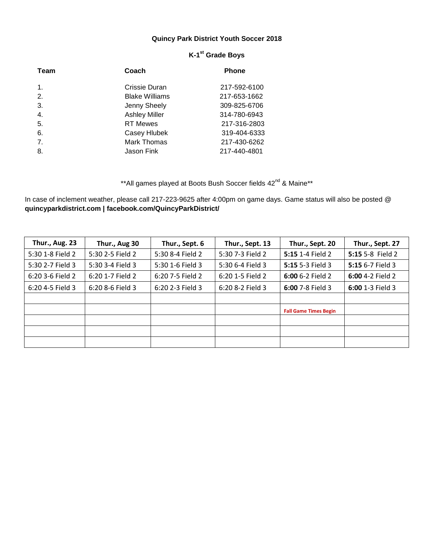# **Quincy Park District Youth Soccer 2018**

| Team           | Coach                 | <b>Phone</b> |
|----------------|-----------------------|--------------|
| $\mathbf{1}$ . | Crissie Duran         | 217-592-6100 |
| 2.             | <b>Blake Williams</b> | 217-653-1662 |
| 3.             | Jenny Sheely          | 309-825-6706 |
| 4.             | <b>Ashley Miller</b>  | 314-780-6943 |
| 5.             | <b>RT Mewes</b>       | 217-316-2803 |
| 6.             | Casey Hlubek          | 319-404-6333 |
| 7.             | <b>Mark Thomas</b>    | 217-430-6262 |
| 8.             | Jason Fink            | 217-440-4801 |

# **K-1 st Grade Boys**

\*\*All games played at Boots Bush Soccer fields 42<sup>nd</sup> & Maine\*\*

In case of inclement weather, please call 217-223-9625 after 4:00pm on game days. Game status will also be posted @ **quincyparkdistrict.com | facebook.com/QuincyParkDistrict/** 

| <b>Thur., Aug. 23</b> | Thur., Aug 30    | Thur., Sept. 6   | Thur., Sept. 13  | Thur., Sept. 20              | Thur., Sept. 27  |
|-----------------------|------------------|------------------|------------------|------------------------------|------------------|
| 5:30 1-8 Field 2      | 5:30 2-5 Field 2 | 5:30 8-4 Field 2 | 5:30 7-3 Field 2 | 5:15 1-4 Field 2             | 5:15 5-8 Field 2 |
| 5:30 2-7 Field 3      | 5:30 3-4 Field 3 | 5:30 1-6 Field 3 | 5:30 6-4 Field 3 | 5:15 5-3 Field 3             | 5:15 6-7 Field 3 |
| 6:20 3-6 Field 2      | 6:20 1-7 Field 2 | 6:20 7-5 Field 2 | 6:20 1-5 Field 2 | 6:00 6-2 Field 2             | 6:00 4-2 Field 2 |
| 6:20 4-5 Field 3      | 6:20 8-6 Field 3 | 6:20 2-3 Field 3 | 6:20 8-2 Field 3 | 6:00 7-8 Field 3             | 6:00 1-3 Field 3 |
|                       |                  |                  |                  |                              |                  |
|                       |                  |                  |                  | <b>Fall Game Times Begin</b> |                  |
|                       |                  |                  |                  |                              |                  |
|                       |                  |                  |                  |                              |                  |
|                       |                  |                  |                  |                              |                  |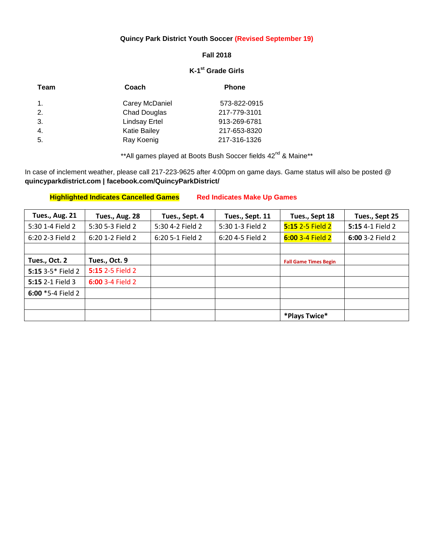# **Quincy Park District Youth Soccer (Revised September 19)**

## **Fall 2018**

#### **K-1 st Grade Girls**

| Team           | Coach                | <b>Phone</b> |
|----------------|----------------------|--------------|
| $\mathbf{1}$ . | Carey McDaniel       | 573-822-0915 |
| 2.             | <b>Chad Douglas</b>  | 217-779-3101 |
| 3.             | <b>Lindsay Ertel</b> | 913-269-6781 |
| 4.             | <b>Katie Bailey</b>  | 217-653-8320 |
| 5.             | Ray Koenig           | 217-316-1326 |

\*\*All games played at Boots Bush Soccer fields 42<sup>nd</sup> & Maine\*\*

In case of inclement weather, please call 217-223-9625 after 4:00pm on game days. Game status will also be posted @ **quincyparkdistrict.com | facebook.com/QuincyParkDistrict/**

| Tues., Aug. 21          | Tues., Aug. 28   | Tues., Sept. 4   | Tues., Sept. 11  | Tues., Sept 18               | Tues., Sept 25   |
|-------------------------|------------------|------------------|------------------|------------------------------|------------------|
| 5:30 1-4 Field 2        | 5:30 5-3 Field 2 | 5:30 4-2 Field 2 | 5:30 1-3 Field 2 | 5:15 2-5 Field 2             | 5:15 4-1 Field 2 |
| 6:20 2-3 Field 2        | 6:20 1-2 Field 2 | 6:20 5-1 Field 2 | 6:20 4-5 Field 2 | 6:00 3-4 Field 2             | 6:00 3-2 Field 2 |
|                         |                  |                  |                  |                              |                  |
| Tues., Oct. 2           | Tues., Oct. 9    |                  |                  | <b>Fall Game Times Begin</b> |                  |
| 5:15 3-5* Field 2       | 5:15 2-5 Field 2 |                  |                  |                              |                  |
| <b>5:15 2-1 Field 3</b> | 6:00 3-4 Field 2 |                  |                  |                              |                  |
| 6:00 $*$ 5-4 Field 2    |                  |                  |                  |                              |                  |
|                         |                  |                  |                  |                              |                  |
|                         |                  |                  |                  | *Plays Twice*                |                  |

# **Highlighted Indicates Cancelled Games Red Indicates Make Up Games**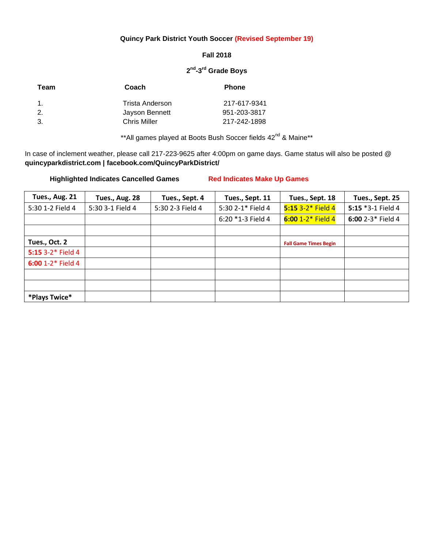### **Quincy Park District Youth Soccer (Revised September 19)**

#### **Fall 2018**

#### **2 nd -3 rd Grade Boys**

| Team           | Coach               | <b>Phone</b> |
|----------------|---------------------|--------------|
| $\mathbf{1}$ . | Trista Anderson     | 217-617-9341 |
| 2.             | Jayson Bennett      | 951-203-3817 |
| -3.            | <b>Chris Miller</b> | 217-242-1898 |

\*\*All games played at Boots Bush Soccer fields 42<sup>nd</sup> & Maine\*\*

In case of inclement weather, please call 217-223-9625 after 4:00pm on game days. Game status will also be posted @ **quincyparkdistrict.com | facebook.com/QuincyParkDistrict/**

**Highlighted Indicates Cancelled Games Red Indicates Make Up Games**

| Tues., Aug. 21    | Tues., Aug. 28   | Tues., Sept. 4   | Tues., Sept. 11   | Tues., Sept. 18              | Tues., Sept. 25   |
|-------------------|------------------|------------------|-------------------|------------------------------|-------------------|
| 5:30 1-2 Field 4  | 5:30 3-1 Field 4 | 5:30 2-3 Field 4 | 5:30 2-1* Field 4 | $5:153--2*$ Field 4          | 5:15 *3-1 Field 4 |
|                   |                  |                  | 6:20 *1-3 Field 4 | $6:00 1-2*$ Field 4          | 6:00 2-3* Field 4 |
|                   |                  |                  |                   |                              |                   |
| Tues., Oct. 2     |                  |                  |                   | <b>Fall Game Times Begin</b> |                   |
| 5:15 3-2* Field 4 |                  |                  |                   |                              |                   |
| 6:00 1-2* Field 4 |                  |                  |                   |                              |                   |
|                   |                  |                  |                   |                              |                   |
|                   |                  |                  |                   |                              |                   |
| *Plays Twice*     |                  |                  |                   |                              |                   |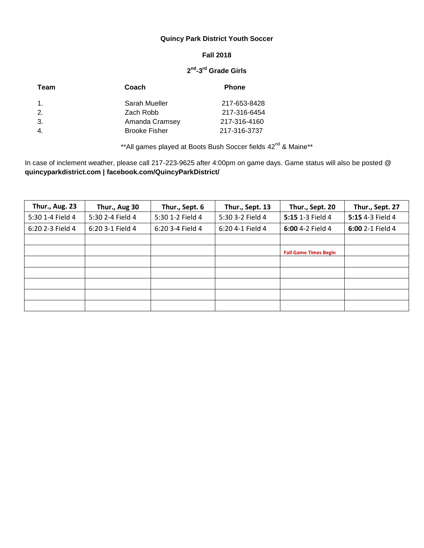# **Quincy Park District Youth Soccer**

### **Fall 2018**

#### **2 nd -3 rd Grade Girls**

| Team           | Coach                | <b>Phone</b> |
|----------------|----------------------|--------------|
| $\mathbf{1}$ . | Sarah Mueller        | 217-653-8428 |
| 2.             | Zach Robb            | 217-316-6454 |
| -3.            | Amanda Cramsey       | 217-316-4160 |
| 4.             | <b>Brooke Fisher</b> | 217-316-3737 |

\*\*All games played at Boots Bush Soccer fields 42<sup>nd</sup> & Maine\*\*

In case of inclement weather, please call 217-223-9625 after 4:00pm on game days. Game status will also be posted @ **quincyparkdistrict.com | facebook.com/QuincyParkDistrict/**

| <b>Thur., Aug. 23</b> | Thur., Aug 30    | Thur., Sept. 6   | Thur., Sept. 13  | Thur., Sept. 20              | Thur., Sept. 27  |
|-----------------------|------------------|------------------|------------------|------------------------------|------------------|
| 5:30 1-4 Field 4      | 5:30 2-4 Field 4 | 5:30 1-2 Field 4 | 5:30 3-2 Field 4 | 5:15 1-3 Field 4             | 5:15 4-3 Field 4 |
| 6:20 2-3 Field 4      | 6:20 3-1 Field 4 | 6:20 3-4 Field 4 | 6:20 4-1 Field 4 | 6:00 4-2 Field 4             | 6:00 2-1 Field 4 |
|                       |                  |                  |                  |                              |                  |
|                       |                  |                  |                  | <b>Fall Game Times Begin</b> |                  |
|                       |                  |                  |                  |                              |                  |
|                       |                  |                  |                  |                              |                  |
|                       |                  |                  |                  |                              |                  |
|                       |                  |                  |                  |                              |                  |
|                       |                  |                  |                  |                              |                  |